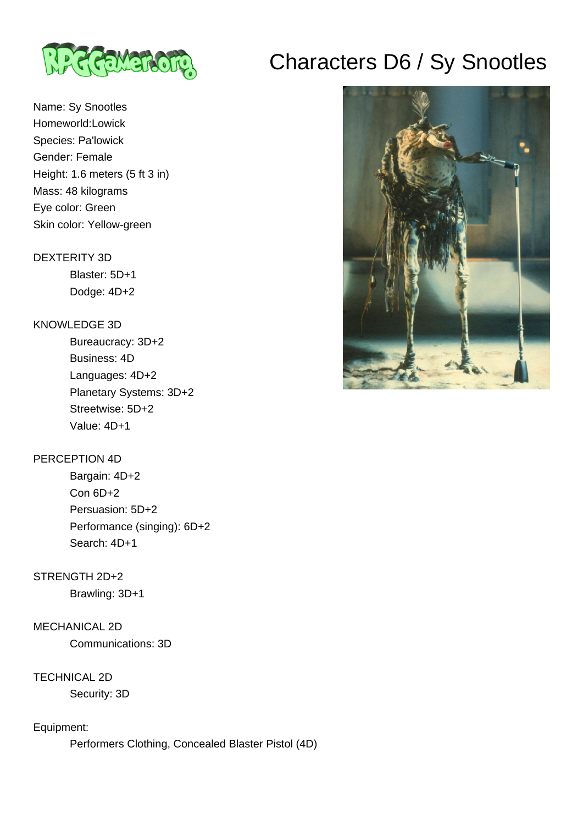

## Name: Sy Snootles Homeworld:Lowick Species: Pa'lowick Gender: Female Height: 1.6 meters (5 ft 3 in) Mass: 48 kilograms Eye color: Green Skin color: Yellow-green

#### DEXTERITY 3D

 Blaster: 5D+1 Dodge: 4D+2

#### KNOWLEDGE 3D

 Bureaucracy: 3D+2 Business: 4D Languages: 4D+2 Planetary Systems: 3D+2 Streetwise: 5D+2 Value: 4D+1

#### PERCEPTION 4D

 Bargain: 4D+2 Con 6D+2 Persuasion: 5D+2 Performance (singing): 6D+2 Search: 4D+1

## STRENGTH 2D+2

Brawling: 3D+1

#### MECHANICAL 2D

Communications: 3D

### TECHNICAL 2D

Security: 3D

#### Equipment:

Performers Clothing, Concealed Blaster Pistol (4D)

# Characters D6 / Sy Snootles

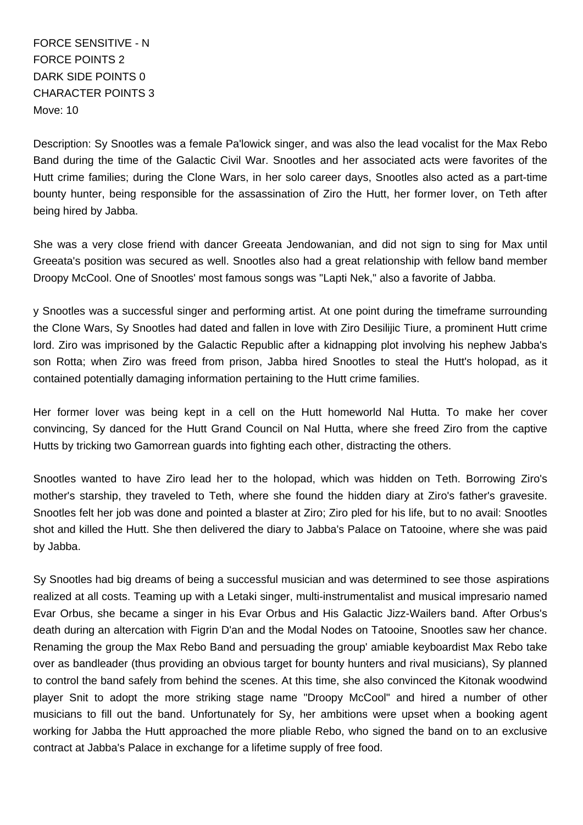FORCE SENSITIVE - N FORCE POINTS 2 DARK SIDE POINTS 0 CHARACTER POINTS 3 Move: 10

Description: Sy Snootles was a female Pa'lowick singer, and was also the lead vocalist for the Max Rebo Band during the time of the Galactic Civil War. Snootles and her associated acts were favorites of the Hutt crime families; during the Clone Wars, in her solo career days, Snootles also acted as a part-time bounty hunter, being responsible for the assassination of Ziro the Hutt, her former lover, on Teth after being hired by Jabba.

She was a very close friend with dancer Greeata Jendowanian, and did not sign to sing for Max until Greeata's position was secured as well. Snootles also had a great relationship with fellow band member Droopy McCool. One of Snootles' most famous songs was "Lapti Nek," also a favorite of Jabba.

y Snootles was a successful singer and performing artist. At one point during the timeframe surrounding the Clone Wars, Sy Snootles had dated and fallen in love with Ziro Desilijic Tiure, a prominent Hutt crime lord. Ziro was imprisoned by the Galactic Republic after a kidnapping plot involving his nephew Jabba's son Rotta; when Ziro was freed from prison, Jabba hired Snootles to steal the Hutt's holopad, as it contained potentially damaging information pertaining to the Hutt crime families.

Her former lover was being kept in a cell on the Hutt homeworld Nal Hutta. To make her cover convincing, Sy danced for the Hutt Grand Council on Nal Hutta, where she freed Ziro from the captive Hutts by tricking two Gamorrean guards into fighting each other, distracting the others.

Snootles wanted to have Ziro lead her to the holopad, which was hidden on Teth. Borrowing Ziro's mother's starship, they traveled to Teth, where she found the hidden diary at Ziro's father's gravesite. Snootles felt her job was done and pointed a blaster at Ziro; Ziro pled for his life, but to no avail: Snootles shot and killed the Hutt. She then delivered the diary to Jabba's Palace on Tatooine, where she was paid by Jabba.

Sy Snootles had big dreams of being a successful musician and was determined to see those aspirations realized at all costs. Teaming up with a Letaki singer, multi-instrumentalist and musical impresario named Evar Orbus, she became a singer in his Evar Orbus and His Galactic Jizz-Wailers band. After Orbus's death during an altercation with Figrin D'an and the Modal Nodes on Tatooine, Snootles saw her chance. Renaming the group the Max Rebo Band and persuading the group' amiable keyboardist Max Rebo take over as bandleader (thus providing an obvious target for bounty hunters and rival musicians), Sy planned to control the band safely from behind the scenes. At this time, she also convinced the Kitonak woodwind player Snit to adopt the more striking stage name "Droopy McCool" and hired a number of other musicians to fill out the band. Unfortunately for Sy, her ambitions were upset when a booking agent working for Jabba the Hutt approached the more pliable Rebo, who signed the band on to an exclusive contract at Jabba's Palace in exchange for a lifetime supply of free food.